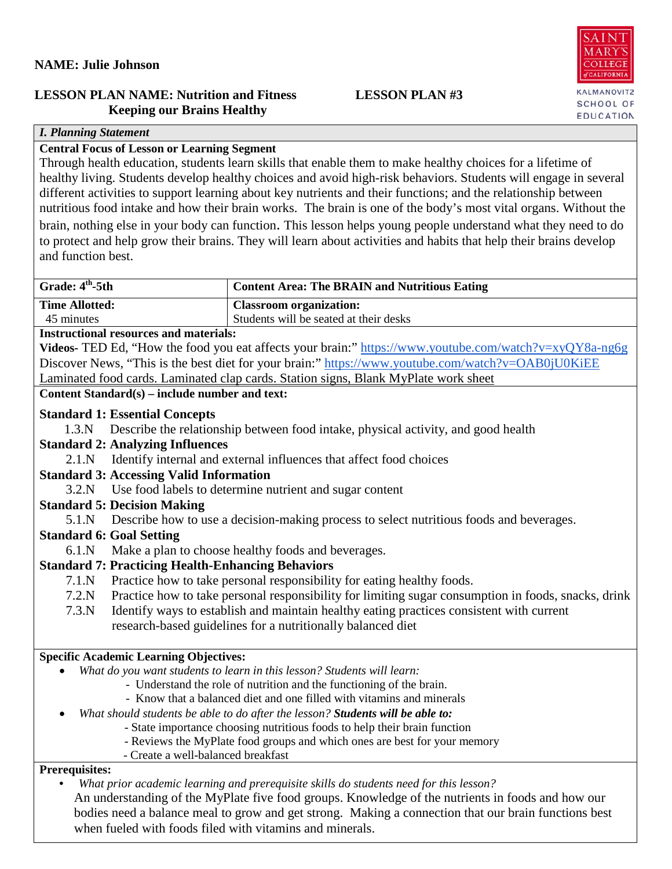## **NAME: Julie Johnson**

## **LESSON PLAN NAME: Nutrition and Fitness LESSON PLAN #3 Keeping our Brains Healthy**

## *I. Planning Statement*

# **Central Focus of Lesson or Learning Segment**

Through health education, students learn skills that enable them to make healthy choices for a lifetime of healthy living. Students develop healthy choices and avoid high-risk behaviors. Students will engage in several different activities to support learning about key nutrients and their functions; and the relationship between nutritious food intake and how their brain works. The brain is one of the body's most vital organs. Without the brain, nothing else in your body can function. This lesson helps young people understand what they need to do to protect and help grow their brains. They will learn about activities and habits that help their brains develop and function best.

| Grade: 4 <sup>th</sup> -5th                                                                       | <b>Content Area: The BRAIN and Nutritious Eating</b>                                                          |
|---------------------------------------------------------------------------------------------------|---------------------------------------------------------------------------------------------------------------|
| <b>Time Allotted:</b>                                                                             | <b>Classroom</b> organization:                                                                                |
| 45 minutes                                                                                        | Students will be seated at their desks                                                                        |
| <b>Instructional resources and materials:</b>                                                     |                                                                                                               |
|                                                                                                   | <b>Videos-</b> TED Ed, "How the food you eat affects your brain:" https://www.youtube.com/watch?v=xyQY8a-ng6g |
|                                                                                                   | Discover News, "This is the best diet for your brain:" https://www.youtube.com/watch?v=OAB0jU0KiEE            |
|                                                                                                   | Laminated food cards. Laminated clap cards. Station signs, Blank MyPlate work sheet                           |
| Content Standard(s) – include number and text:                                                    |                                                                                                               |
| <b>Standard 1: Essential Concepts</b>                                                             |                                                                                                               |
| 1.3.N                                                                                             | Describe the relationship between food intake, physical activity, and good health                             |
| <b>Standard 2: Analyzing Influences</b>                                                           |                                                                                                               |
| 2.1.N                                                                                             | Identify internal and external influences that affect food choices                                            |
| <b>Standard 3: Accessing Valid Information</b>                                                    |                                                                                                               |
| 3.2.N                                                                                             | Use food labels to determine nutrient and sugar content                                                       |
| <b>Standard 5: Decision Making</b>                                                                |                                                                                                               |
| 5.1 <sub>N</sub>                                                                                  | Describe how to use a decision-making process to select nutritious foods and beverages.                       |
| <b>Standard 6: Goal Setting</b>                                                                   |                                                                                                               |
| 6.1.N                                                                                             | Make a plan to choose healthy foods and beverages.                                                            |
| <b>Standard 7: Practicing Health-Enhancing Behaviors</b>                                          |                                                                                                               |
| 7.1.N                                                                                             | Practice how to take personal responsibility for eating healthy foods.                                        |
| 7.2.N                                                                                             | Practice how to take personal responsibility for limiting sugar consumption in foods, snacks, drink           |
| 7.3.N                                                                                             | Identify ways to establish and maintain healthy eating practices consistent with current                      |
|                                                                                                   | research-based guidelines for a nutritionally balanced diet                                                   |
| <b>Specific Academic Learning Objectives:</b>                                                     |                                                                                                               |
|                                                                                                   | What do you want students to learn in this lesson? Students will learn:                                       |
| - Understand the role of nutrition and the functioning of the brain.                              |                                                                                                               |
| - Know that a balanced diet and one filled with vitamins and minerals                             |                                                                                                               |
| $\bullet$                                                                                         | What should students be able to do after the lesson? Students will be able to:                                |
|                                                                                                   | - State importance choosing nutritious foods to help their brain function                                     |
| - Create a well-balanced breakfast                                                                | - Reviews the MyPlate food groups and which ones are best for your memory                                     |
| <b>Prerequisites:</b>                                                                             |                                                                                                               |
|                                                                                                   | What prior academic learning and prerequisite skills do students need for this lesson?                        |
| An understanding of the MyPlate five food groups. Knowledge of the nutrients in foods and how our |                                                                                                               |
|                                                                                                   | bodies need a balance meal to grow and get strong. Making a connection that our brain functions best          |
| when fueled with foods filed with vitamins and minerals.                                          |                                                                                                               |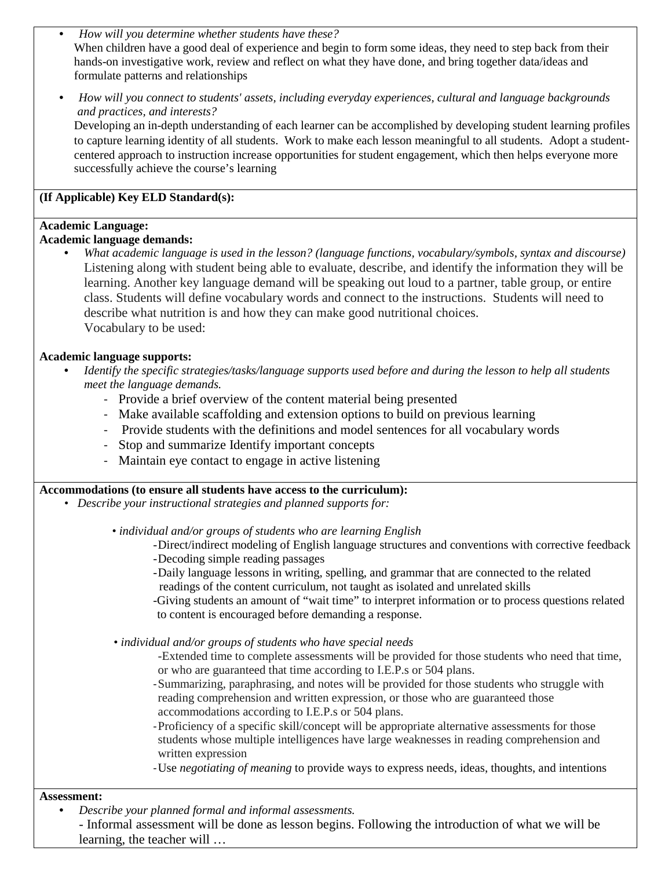- *How will you determine whether students have these?* When children have a good deal of experience and begin to form some ideas, they need to step back from their hands-on investigative work, review and reflect on what they have done, and bring together data/ideas and formulate patterns and relationships
- *How will you connect to students' assets, including everyday experiences, cultural and language backgrounds and practices, and interests?*

Developing an in-depth understanding of each learner can be accomplished by developing student learning profiles to capture learning identity of all students. Work to make each lesson meaningful to all students. Adopt a studentcentered approach to instruction increase opportunities for student engagement, which then helps everyone more successfully achieve the course's learning

## **(If Applicable) Key ELD Standard(s):**

#### **Academic Language:**

#### **Academic language demands:**

• *What academic language is used in the lesson? (language functions, vocabulary/symbols, syntax and discourse)* Listening along with student being able to evaluate, describe, and identify the information they will be learning. Another key language demand will be speaking out loud to a partner, table group, or entire class. Students will define vocabulary words and connect to the instructions. Students will need to describe what nutrition is and how they can make good nutritional choices. Vocabulary to be used:

#### **Academic language supports:**

- *Identify the specific strategies/tasks/language supports used before and during the lesson to help all students meet the language demands.* 
	- Provide a brief overview of the content material being presented
	- Make available scaffolding and extension options to build on previous learning
	- Provide students with the definitions and model sentences for all vocabulary words
	- Stop and summarize Identify important concepts
	- Maintain eye contact to engage in active listening

#### **Accommodations (to ensure all students have access to the curriculum):**

*• Describe your instructional strategies and planned supports for:*

 *• individual and/or groups of students who are learning English*

- -Direct/indirect modeling of English language structures and conventions with corrective feedback
- -Decoding simple reading passages
- -Daily language lessons in writing, spelling, and grammar that are connected to the related readings of the content curriculum, not taught as isolated and unrelated skills
- -Giving students an amount of "wait time" to interpret information or to process questions related to content is encouraged before demanding a response.
- *individual and/or groups of students who have special needs*
	- -Extended time to complete assessments will be provided for those students who need that time, or who are guaranteed that time according to I.E.P.s or 504 plans.
	- -Summarizing, paraphrasing, and notes will be provided for those students who struggle with reading comprehension and written expression, or those who are guaranteed those accommodations according to I.E.P.s or 504 plans.
	- -Proficiency of a specific skill/concept will be appropriate alternative assessments for those students whose multiple intelligences have large weaknesses in reading comprehension and written expression
	- -Use *negotiating of meaning* to provide ways to express needs, ideas, thoughts, and intentions

#### **Assessment:**

- *Describe your planned formal and informal assessments.*
	- *-* Informal assessment will be done as lesson begins. Following the introduction of what we will be learning, the teacher will …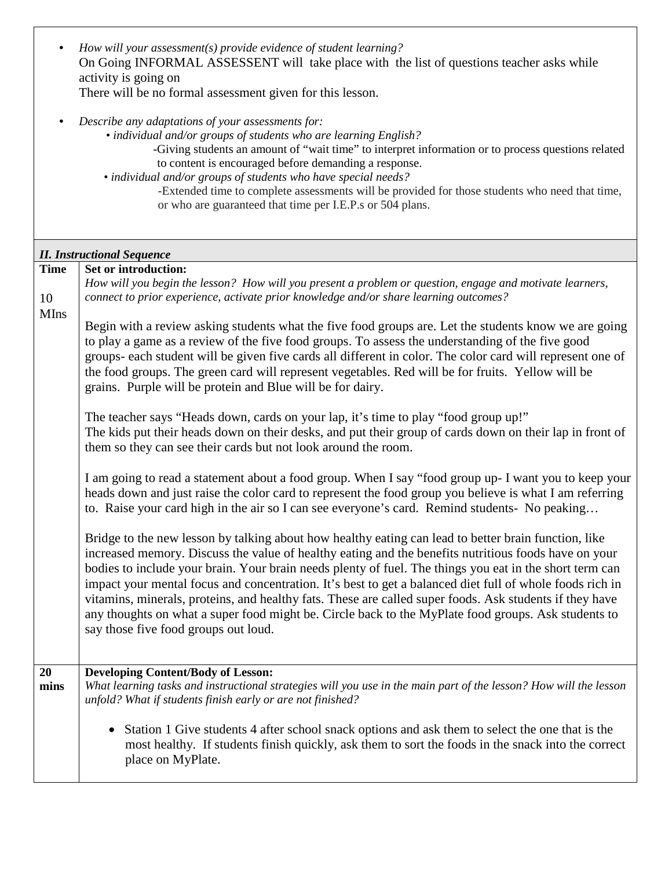|             | How will your assessment(s) provide evidence of student learning?<br>On Going INFORMAL ASSESSENT will take place with the list of questions teacher asks while                                                                                                                                                                                                                                                                                                                                                                                                                                                                                                                                |
|-------------|-----------------------------------------------------------------------------------------------------------------------------------------------------------------------------------------------------------------------------------------------------------------------------------------------------------------------------------------------------------------------------------------------------------------------------------------------------------------------------------------------------------------------------------------------------------------------------------------------------------------------------------------------------------------------------------------------|
|             | activity is going on                                                                                                                                                                                                                                                                                                                                                                                                                                                                                                                                                                                                                                                                          |
|             | There will be no formal assessment given for this lesson.                                                                                                                                                                                                                                                                                                                                                                                                                                                                                                                                                                                                                                     |
|             | Describe any adaptations of your assessments for:<br>• individual and/or groups of students who are learning English?<br>-Giving students an amount of "wait time" to interpret information or to process questions related                                                                                                                                                                                                                                                                                                                                                                                                                                                                   |
|             | to content is encouraged before demanding a response.                                                                                                                                                                                                                                                                                                                                                                                                                                                                                                                                                                                                                                         |
|             | • individual and/or groups of students who have special needs?<br>-Extended time to complete assessments will be provided for those students who need that time,                                                                                                                                                                                                                                                                                                                                                                                                                                                                                                                              |
|             | or who are guaranteed that time per I.E.P.s or 504 plans.                                                                                                                                                                                                                                                                                                                                                                                                                                                                                                                                                                                                                                     |
|             |                                                                                                                                                                                                                                                                                                                                                                                                                                                                                                                                                                                                                                                                                               |
|             | <b>II. Instructional Sequence</b>                                                                                                                                                                                                                                                                                                                                                                                                                                                                                                                                                                                                                                                             |
| <b>Time</b> | Set or introduction:<br>How will you begin the lesson? How will you present a problem or question, engage and motivate learners,                                                                                                                                                                                                                                                                                                                                                                                                                                                                                                                                                              |
| 10          | connect to prior experience, activate prior knowledge and/or share learning outcomes?                                                                                                                                                                                                                                                                                                                                                                                                                                                                                                                                                                                                         |
| <b>MIns</b> | Begin with a review asking students what the five food groups are. Let the students know we are going                                                                                                                                                                                                                                                                                                                                                                                                                                                                                                                                                                                         |
|             | to play a game as a review of the five food groups. To assess the understanding of the five good                                                                                                                                                                                                                                                                                                                                                                                                                                                                                                                                                                                              |
|             | groups- each student will be given five cards all different in color. The color card will represent one of<br>the food groups. The green card will represent vegetables. Red will be for fruits. Yellow will be                                                                                                                                                                                                                                                                                                                                                                                                                                                                               |
|             | grains. Purple will be protein and Blue will be for dairy.                                                                                                                                                                                                                                                                                                                                                                                                                                                                                                                                                                                                                                    |
|             | The teacher says "Heads down, cards on your lap, it's time to play "food group up!"                                                                                                                                                                                                                                                                                                                                                                                                                                                                                                                                                                                                           |
|             | The kids put their heads down on their desks, and put their group of cards down on their lap in front of<br>them so they can see their cards but not look around the room.                                                                                                                                                                                                                                                                                                                                                                                                                                                                                                                    |
|             |                                                                                                                                                                                                                                                                                                                                                                                                                                                                                                                                                                                                                                                                                               |
|             | I am going to read a statement about a food group. When I say "food group up- I want you to keep your<br>heads down and just raise the color card to represent the food group you believe is what I am referring<br>to. Raise your card high in the air so I can see everyone's card. Remind students- No peaking                                                                                                                                                                                                                                                                                                                                                                             |
|             | Bridge to the new lesson by talking about how healthy eating can lead to better brain function, like<br>increased memory. Discuss the value of healthy eating and the benefits nutritious foods have on your<br>bodies to include your brain. Your brain needs plenty of fuel. The things you eat in the short term can<br>impact your mental focus and concentration. It's best to get a balanced diet full of whole foods rich in<br>vitamins, minerals, proteins, and healthy fats. These are called super foods. Ask students if they have<br>any thoughts on what a super food might be. Circle back to the MyPlate food groups. Ask students to<br>say those five food groups out loud. |
|             |                                                                                                                                                                                                                                                                                                                                                                                                                                                                                                                                                                                                                                                                                               |
| 20<br>mins  | <b>Developing Content/Body of Lesson:</b><br>What learning tasks and instructional strategies will you use in the main part of the lesson? How will the lesson<br>unfold? What if students finish early or are not finished?                                                                                                                                                                                                                                                                                                                                                                                                                                                                  |
|             | Station 1 Give students 4 after school snack options and ask them to select the one that is the<br>$\bullet$<br>most healthy. If students finish quickly, ask them to sort the foods in the snack into the correct<br>place on MyPlate.                                                                                                                                                                                                                                                                                                                                                                                                                                                       |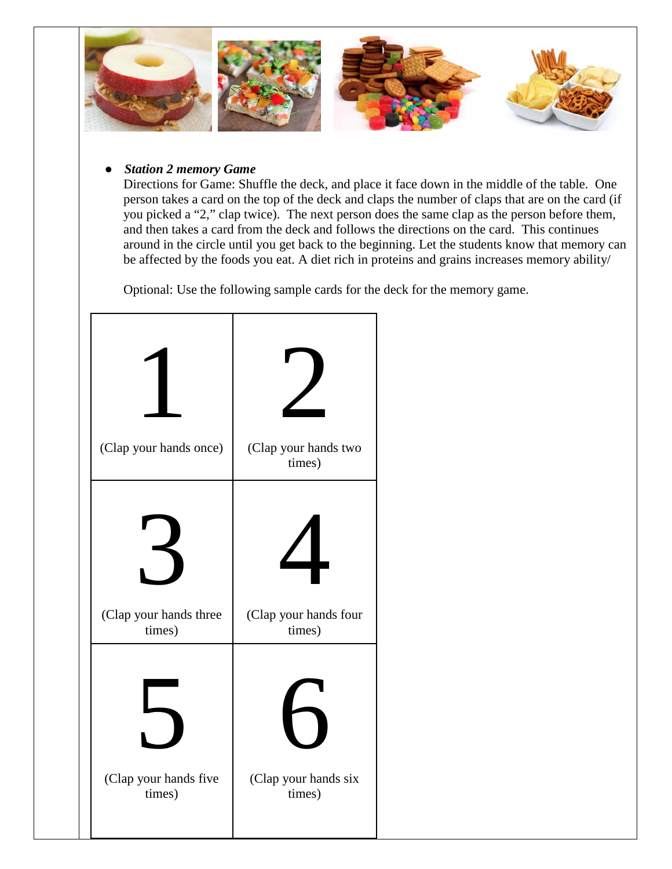

#### *Station 2 memory Game*

Directions for Game: Shuffle the deck, and place it face down in the middle of the table. One person takes a card on the top of the deck and claps the number of claps that are on the card (if you picked a "2," clap twice). The next person does the same clap as the person before them, and then takes a card from the deck and follows the directions on the card. This continues around in the circle until you get back to the beginning. Let the students know that memory can be affected by the foods you eat. A diet rich in proteins and grains increases memory ability/

Optional: Use the following sample cards for the deck for the memory game.

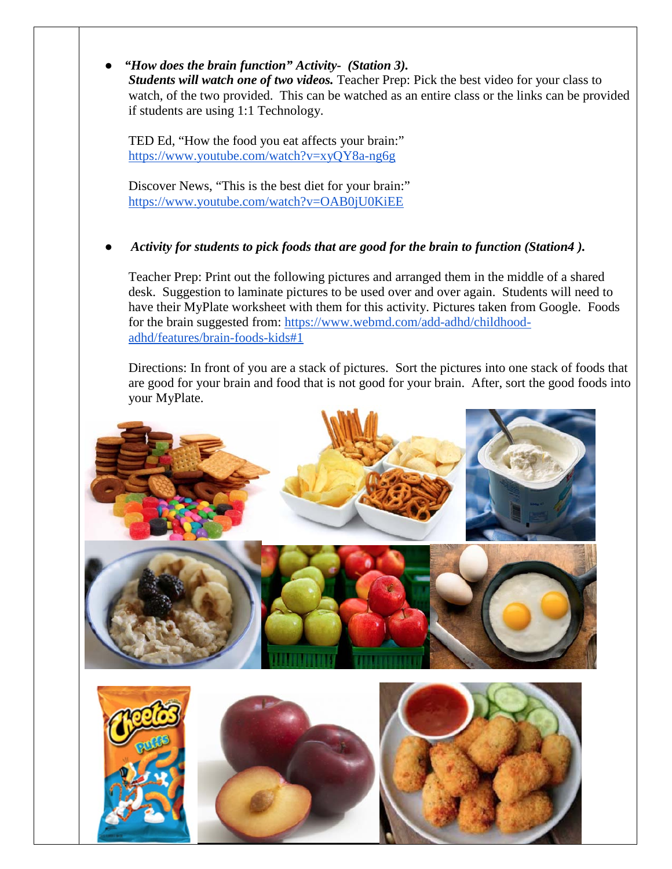● *"How does the brain function" Activity- (Station 3). Students will watch one of two videos.* Teacher Prep: Pick the best video for your class to watch, of the two provided. This can be watched as an entire class or the links can be provided if students are using 1:1 Technology.

TED Ed, "How the food you eat affects your brain:" <https://www.youtube.com/watch?v=xyQY8a-ng6g>

Discover News, "This is the best diet for your brain:" <https://www.youtube.com/watch?v=OAB0jU0KiEE>

## ● *Activity for students to pick foods that are good for the brain to function (Station4 ).*

Teacher Prep: Print out the following pictures and arranged them in the middle of a shared desk. Suggestion to laminate pictures to be used over and over again. Students will need to have their MyPlate worksheet with them for this activity. Pictures taken from Google. Foods for the brain suggested from: [https://www.webmd.com/add-adhd/childhood](https://www.webmd.com/add-adhd/childhood-adhd/features/brain-foods-kids#1)[adhd/features/brain-foods-kids#1](https://www.webmd.com/add-adhd/childhood-adhd/features/brain-foods-kids#1) 

Directions: In front of you are a stack of pictures. Sort the pictures into one stack of foods that are good for your brain and food that is not good for your brain. After, sort the good foods into your MyPlate.